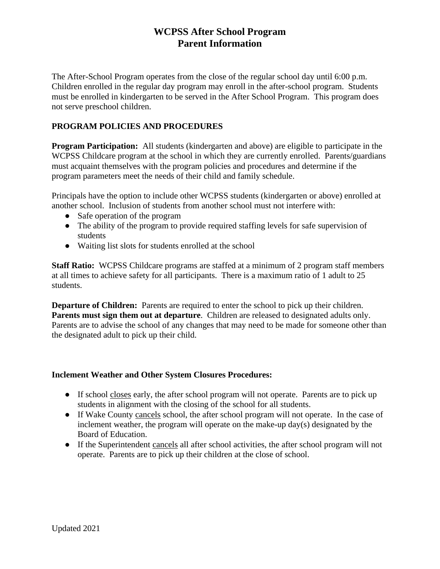## **WCPSS After School Program Parent Information**

The After-School Program operates from the close of the regular school day until 6:00 p.m. Children enrolled in the regular day program may enroll in the after-school program. Students must be enrolled in kindergarten to be served in the After School Program. This program does not serve preschool children.

## **PROGRAM POLICIES AND PROCEDURES**

**Program Participation:** All students (kindergarten and above) are eligible to participate in the WCPSS Childcare program at the school in which they are currently enrolled. Parents/guardians must acquaint themselves with the program policies and procedures and determine if the program parameters meet the needs of their child and family schedule.

Principals have the option to include other WCPSS students (kindergarten or above) enrolled at another school. Inclusion of students from another school must not interfere with:

- Safe operation of the program
- The ability of the program to provide required staffing levels for safe supervision of students
- Waiting list slots for students enrolled at the school

**Staff Ratio:** WCPSS Childcare programs are staffed at a minimum of 2 program staff members at all times to achieve safety for all participants. There is a maximum ratio of 1 adult to 25 students.

**Departure of Children:** Parents are required to enter the school to pick up their children. **Parents must sign them out at departure**. Children are released to designated adults only. Parents are to advise the school of any changes that may need to be made for someone other than the designated adult to pick up their child.

## **Inclement Weather and Other System Closures Procedures:**

- If school closes early, the after school program will not operate. Parents are to pick up students in alignment with the closing of the school for all students.
- If Wake County cancels school, the after school program will not operate. In the case of inclement weather, the program will operate on the make-up day(s) designated by the Board of Education.
- If the Superintendent cancels all after school activities, the after school program will not operate. Parents are to pick up their children at the close of school.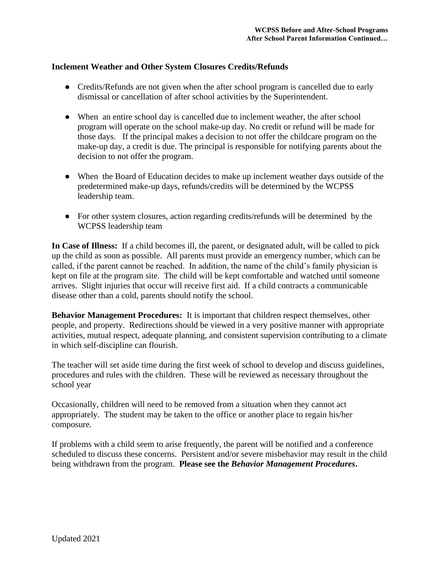## **Inclement Weather and Other System Closures Credits/Refunds**

- Credits/Refunds are not given when the after school program is cancelled due to early dismissal or cancellation of after school activities by the Superintendent.
- When an entire school day is cancelled due to inclement weather, the after school program will operate on the school make-up day. No credit or refund will be made for those days. If the principal makes a decision to not offer the childcare program on the make-up day, a credit is due. The principal is responsible for notifying parents about the decision to not offer the program.
- When the Board of Education decides to make up inclement weather days outside of the predetermined make-up days, refunds/credits will be determined by the WCPSS leadership team.
- For other system closures, action regarding credits/refunds will be determined by the WCPSS leadership team

**In Case of Illness:** If a child becomes ill, the parent, or designated adult, will be called to pick up the child as soon as possible. All parents must provide an emergency number, which can be called, if the parent cannot be reached. In addition, the name of the child's family physician is kept on file at the program site. The child will be kept comfortable and watched until someone arrives. Slight injuries that occur will receive first aid. If a child contracts a communicable disease other than a cold, parents should notify the school.

**Behavior Management Procedures:** It is important that children respect themselves, other people, and property. Redirections should be viewed in a very positive manner with appropriate activities, mutual respect, adequate planning, and consistent supervision contributing to a climate in which self-discipline can flourish.

The teacher will set aside time during the first week of school to develop and discuss guidelines, procedures and rules with the children. These will be reviewed as necessary throughout the school year

Occasionally, children will need to be removed from a situation when they cannot act appropriately. The student may be taken to the office or another place to regain his/her composure.

If problems with a child seem to arise frequently, the parent will be notified and a conference scheduled to discuss these concerns. Persistent and/or severe misbehavior may result in the child being withdrawn from the program. **Please see the** *Behavior Management Procedures***.**